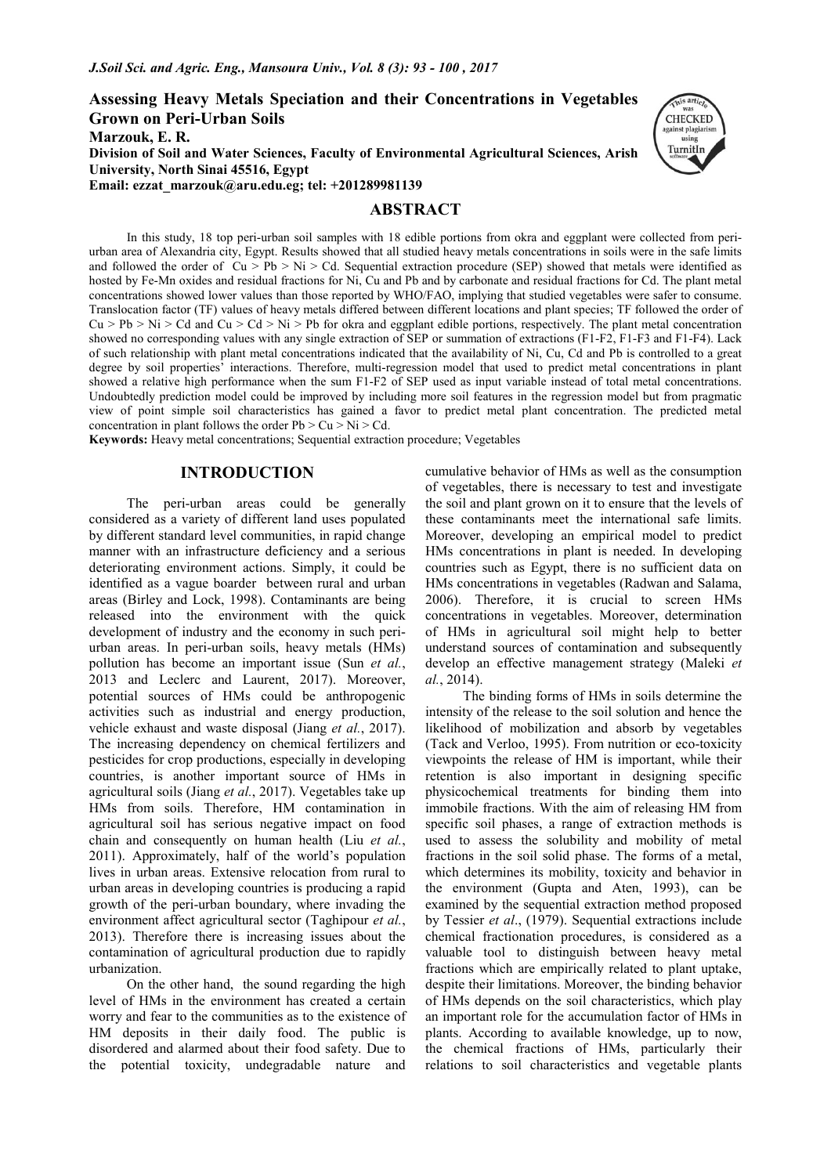**Assessing Heavy Metals Speciation and their Concentrations in Vegetables Grown on Peri-Urban Soils Marzouk, E. R. Division of Soil and Water Sciences, Faculty of Environmental Agricultural Sciences, Arish University, North Sinai 45516, Egypt Email: ezzat\_marzouk@aru.edu.eg; tel: +201289981139** 

# **ABSTRACT**



In this study, 18 top peri-urban soil samples with 18 edible portions from okra and eggplant were collected from periurban area of Alexandria city, Egypt. Results showed that all studied heavy metals concentrations in soils were in the safe limits and followed the order of  $\overline{C}u > \overline{P}b > Ni > Cd$ . Sequential extraction procedure (SEP) showed that metals were identified as hosted by Fe-Mn oxides and residual fractions for Ni, Cu and Pb and by carbonate and residual fractions for Cd. The plant metal concentrations showed lower values than those reported by WHO/FAO, implying that studied vegetables were safer to consume. Translocation factor (TF) values of heavy metals differed between different locations and plant species; TF followed the order of  $Cu > Pb > Ni > Cd$  and  $Cu > Cd > Ni > Pb$  for okra and eggplant edible portions, respectively. The plant metal concentration showed no corresponding values with any single extraction of SEP or summation of extractions (F1-F2, F1-F3 and F1-F4). Lack of such relationship with plant metal concentrations indicated that the availability of Ni, Cu, Cd and Pb is controlled to a great degree by soil properties' interactions. Therefore, multi-regression model that used to predict metal concentrations in plant showed a relative high performance when the sum F1-F2 of SEP used as input variable instead of total metal concentrations. Undoubtedly prediction model could be improved by including more soil features in the regression model but from pragmatic view of point simple soil characteristics has gained a favor to predict metal plant concentration. The predicted metal concentration in plant follows the order  $Pb > Cu > Ni > Cd$ .

**Keywords:** Heavy metal concentrations; Sequential extraction procedure; Vegetables

# **INTRODUCTION**

The peri-urban areas could be generally considered as a variety of different land uses populated by different standard level communities, in rapid change manner with an infrastructure deficiency and a serious deteriorating environment actions. Simply, it could be identified as a vague boarder between rural and urban areas (Birley and Lock, 1998). Contaminants are being released into the environment with the quick development of industry and the economy in such periurban areas. In peri-urban soils, heavy metals (HMs) pollution has become an important issue (Sun *et al.*, 2013 and Leclerc and Laurent, 2017). Moreover, potential sources of HMs could be anthropogenic activities such as industrial and energy production, vehicle exhaust and waste disposal (Jiang *et al.*, 2017). The increasing dependency on chemical fertilizers and pesticides for crop productions, especially in developing countries, is another important source of HMs in agricultural soils (Jiang *et al.*, 2017). Vegetables take up HMs from soils. Therefore, HM contamination in agricultural soil has serious negative impact on food chain and consequently on human health (Liu *et al.*, 2011). Approximately, half of the world's population lives in urban areas. Extensive relocation from rural to urban areas in developing countries is producing a rapid growth of the peri-urban boundary, where invading the environment affect agricultural sector (Taghipour *et al.*, 2013). Therefore there is increasing issues about the contamination of agricultural production due to rapidly urbanization.

On the other hand, the sound regarding the high level of HMs in the environment has created a certain worry and fear to the communities as to the existence of HM deposits in their daily food. The public is disordered and alarmed about their food safety. Due to the potential toxicity, undegradable nature and

cumulative behavior of HMs as well as the consumption of vegetables, there is necessary to test and investigate the soil and plant grown on it to ensure that the levels of these contaminants meet the international safe limits. Moreover, developing an empirical model to predict HMs concentrations in plant is needed. In developing countries such as Egypt, there is no sufficient data on HMs concentrations in vegetables (Radwan and Salama, 2006). Therefore, it is crucial to screen HMs concentrations in vegetables. Moreover, determination of HMs in agricultural soil might help to better understand sources of contamination and subsequently develop an effective management strategy (Maleki *et al.*, 2014).

The binding forms of HMs in soils determine the intensity of the release to the soil solution and hence the likelihood of mobilization and absorb by vegetables (Tack and Verloo, 1995). From nutrition or eco-toxicity viewpoints the release of HM is important, while their retention is also important in designing specific physicochemical treatments for binding them into immobile fractions. With the aim of releasing HM from specific soil phases, a range of extraction methods is used to assess the solubility and mobility of metal fractions in the soil solid phase. The forms of a metal, which determines its mobility, toxicity and behavior in the environment (Gupta and Aten, 1993), can be examined by the sequential extraction method proposed by Tessier *et al*., (1979). Sequential extractions include chemical fractionation procedures, is considered as a valuable tool to distinguish between heavy metal fractions which are empirically related to plant uptake, despite their limitations. Moreover, the binding behavior of HMs depends on the soil characteristics, which play an important role for the accumulation factor of HMs in plants. According to available knowledge, up to now, the chemical fractions of HMs, particularly their relations to soil characteristics and vegetable plants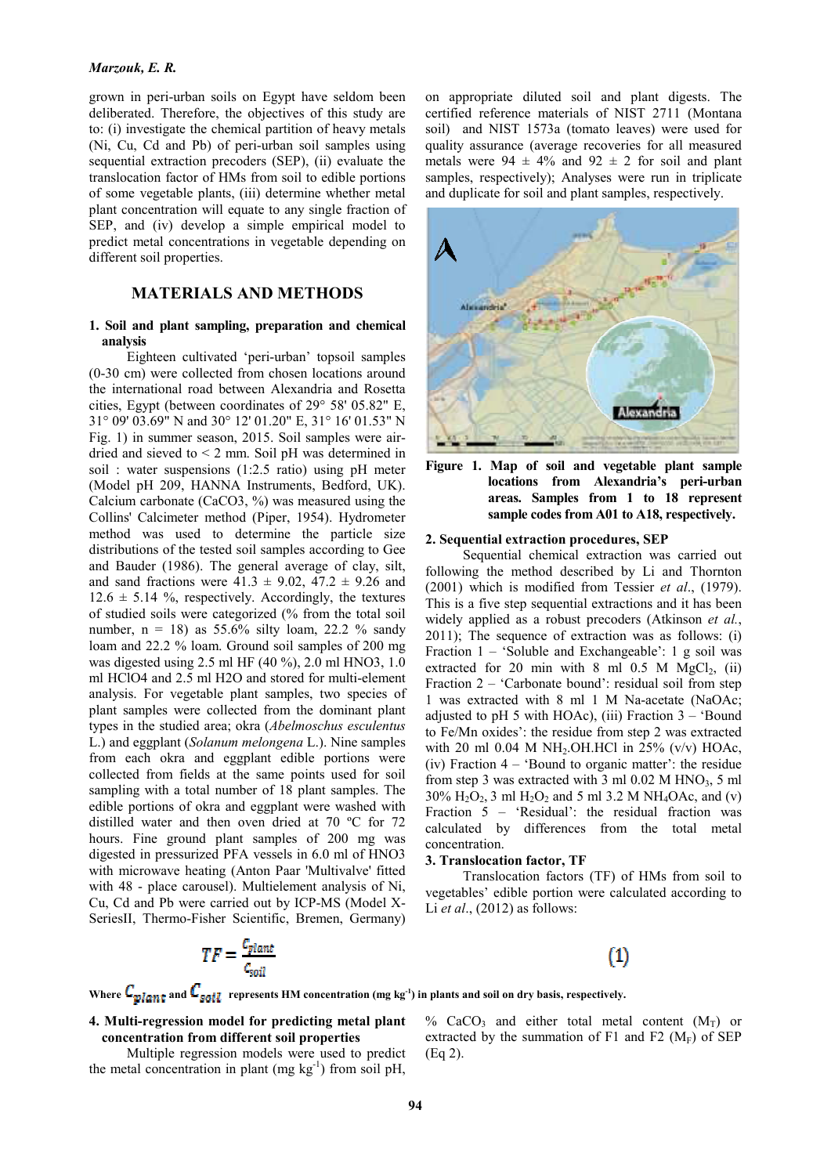#### *Marzouk, E. R.*

grown in peri-urban soils on Egypt have seldom been deliberated. Therefore, the objectives of this study are to: (i) investigate the chemical partition of heavy metals (Ni, Cu, Cd and Pb) of peri-urban soil samples using sequential extraction precoders (SEP), (ii) evaluate the translocation factor of HMs from soil to edible portions of some vegetable plants, (iii) determine whether metal plant concentration will equate to any single fraction of SEP, and (iv) develop a simple empirical model to predict metal concentrations in vegetable depending on different soil properties.

# **MATERIALS AND METHODS**

#### **1. Soil and plant sampling, preparation and chemical analysis**

Eighteen cultivated 'peri-urban' topsoil samples (0-30 cm) were collected from chosen locations around the international road between Alexandria and Rosetta cities, Egypt (between coordinates of 29° 58' 05.82" E, 31° 09' 03.69" N and 30° 12' 01.20" E, 31° 16' 01.53" N Fig. 1) in summer season, 2015. Soil samples were airdried and sieved to < 2 mm. Soil pH was determined in soil : water suspensions (1:2.5 ratio) using pH meter (Model pH 209, HANNA Instruments, Bedford, UK). Calcium carbonate (CaCO3, %) was measured using the Collins' Calcimeter method (Piper, 1954). Hydrometer method was used to determine the particle size distributions of the tested soil samples according to Gee and Bauder (1986). The general average of clay, silt, and sand fractions were  $41.3 \pm 9.02$ ,  $47.2 \pm 9.26$  and  $12.6 \pm 5.14$  %, respectively. Accordingly, the textures of studied soils were categorized (% from the total soil number,  $n = 18$ ) as 55.6% silty loam, 22.2 % sandy loam and 22.2 % loam. Ground soil samples of 200 mg was digested using 2.5 ml HF (40 %), 2.0 ml HNO3, 1.0 ml HClO4 and 2.5 ml H2O and stored for multi-element analysis. For vegetable plant samples, two species of plant samples were collected from the dominant plant types in the studied area; okra (*Abelmoschus esculentus* L.) and eggplant (*Solanum melongena* L.). Nine samples from each okra and eggplant edible portions were collected from fields at the same points used for soil sampling with a total number of 18 plant samples. The edible portions of okra and eggplant were washed with distilled water and then oven dried at 70 ºC for 72 hours. Fine ground plant samples of 200 mg was digested in pressurized PFA vessels in 6.0 ml of HNO3 with microwave heating (Anton Paar 'Multivalve' fitted with 48 - place carousel). Multielement analysis of Ni, Cu, Cd and Pb were carried out by ICP-MS (Model X-SeriesII, Thermo-Fisher Scientific, Bremen, Germany) on appropriate diluted soil and plant digests. The certified reference materials of NIST 2711 (Montana soil) and NIST 1573a (tomato leaves) were used for quality assurance (average recoveries for all measured metals were  $94 \pm 4\%$  and  $92 \pm 2$  for soil and plant samples, respectively); Analyses were run in triplicate and duplicate for soil and plant samples, respectively.





#### **2. Sequential extraction procedures, SEP**

Sequential chemical extraction was carried out following the method described by Li and Thornton (2001) which is modified from Tessier *et al*., (1979). This is a five step sequential extractions and it has been widely applied as a robust precoders (Atkinson *et al.*, 2011); The sequence of extraction was as follows: (i) Fraction 1 – 'Soluble and Exchangeable': 1 g soil was extracted for 20 min with 8 ml  $0.5$  M MgCl<sub>2</sub>, (ii) Fraction 2 – 'Carbonate bound': residual soil from step 1 was extracted with 8 ml 1 M Na-acetate (NaOAc; adjusted to pH 5 with HOAc), (iii) Fraction  $3 -$  'Bound to Fe/Mn oxides': the residue from step 2 was extracted with 20 ml  $0.04$  M NH<sub>2</sub>.OH.HCl in 25% (v/v) HOAc, (iv) Fraction 4 – 'Bound to organic matter': the residue from step 3 was extracted with 3 ml  $0.02$  M HNO<sub>3</sub>, 5 ml 30%  $H_2O_2$ , 3 ml  $H_2O_2$  and 5 ml 3.2 M NH<sub>4</sub>OAc, and (v) Fraction 5 – 'Residual': the residual fraction was calculated by differences from the total metal concentration.

#### **3. Translocation factor, TF**

Translocation factors (TF) of HMs from soil to vegetables' edible portion were calculated according to Li *et al*., (2012) as follows:

# $TF = \frac{c_{plan} }{c_{soil}}$



Where  $C_{\text{planet}}$  and  $C_{\text{solid}}$  represents HM concentration (mg kg<sup>-1</sup>) in plants and soil on dry basis, respectively.

# **4. Multi-regression model for predicting metal plant concentration from different soil properties**

Multiple regression models were used to predict the metal concentration in plant (mg  $kg^{-1}$ ) from soil pH,

% CaCO<sub>3</sub> and either total metal content  $(M_T)$  or extracted by the summation of F1 and F2 ( $M_F$ ) of SEP (Eq 2).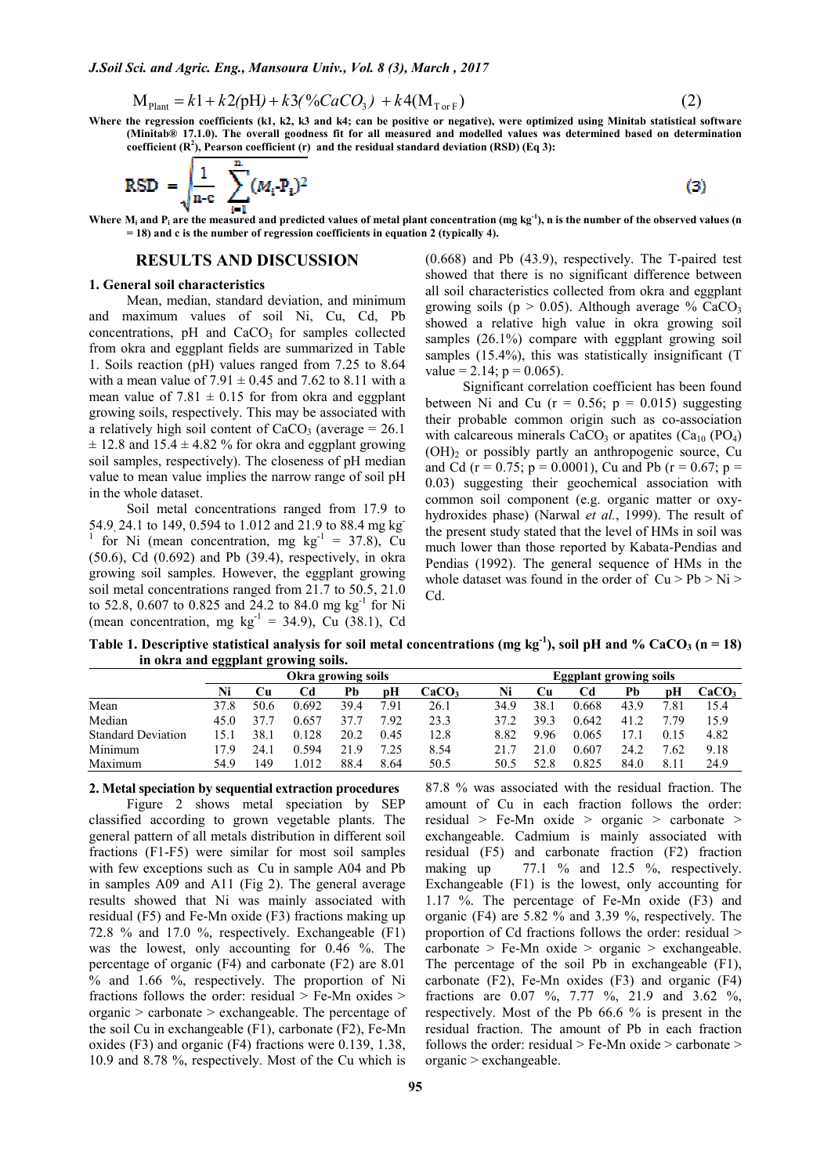$$
M_{\text{Plant}} = k1 + k2(pH) + k3(\%CaCO_3) + k4(M_{\text{TorF}})
$$
 (2)

**Where the regression coefficients (k1, k2, k3 and k4; can be positive or negative), were optimized using Minitab statistical software (Minitab® 17.1.0). The overall goodness fit for all measured and modelled values was determined based on determination**  coefficient  $(R^2)$ , Pearson coefficient  $(r)$  and the residual standard deviation  $(RSD)$  (Eq 3):

RSD = 
$$
\sqrt{\frac{1}{n-c} \sum_{i=1}^{n} (M_i \cdot P_i)^2}
$$

Where  $M_i$  and  $P_i$  are the measured and predicted values of metal plant concentration (mg kg<sup>-1</sup>), n is the number of the observed values (n **= 18) and c is the number of regression coefficients in equation 2 (typically 4).**

## **RESULTS AND DISCUSSION**

#### **1. General soil characteristics**

Mean, median, standard deviation, and minimum and maximum values of soil Ni, Cu, Cd, Pb concentrations,  $pH$  and  $CaCO<sub>3</sub>$  for samples collected from okra and eggplant fields are summarized in Table 1. Soils reaction (pH) values ranged from 7.25 to 8.64 with a mean value of  $7.91 \pm 0.45$  and  $7.62$  to 8.11 with a mean value of  $7.81 \pm 0.15$  for from okra and eggplant growing soils, respectively. This may be associated with a relatively high soil content of  $CaCO<sub>3</sub>$  (average = 26.1)  $\pm$  12.8 and 15.4  $\pm$  4.82 % for okra and eggplant growing soil samples, respectively). The closeness of pH median value to mean value implies the narrow range of soil pH in the whole dataset.

Soil metal concentrations ranged from 17.9 to 54.9, 24.1 to 149, 0.594 to 1.012 and 21.9 to 88.4 mg kg <sup>1</sup> for Ni (mean concentration, mg  $kg^{-1} = 37.8$ ), Cu (50.6), Cd (0.692) and Pb (39.4), respectively, in okra growing soil samples. However, the eggplant growing soil metal concentrations ranged from 21.7 to 50.5, 21.0 to 52.8, 0.607 to 0.825 and 24.2 to 84.0 mg kg<sup>-1</sup> for Ni (mean concentration, mg  $kg^{-1} = 34.9$ ), Cu (38.1), Cd

(0.668) and Pb (43.9), respectively. The T-paired test showed that there is no significant difference between all soil characteristics collected from okra and eggplant growing soils ( $p > 0.05$ ). Although average % CaCO<sub>3</sub> showed a relative high value in okra growing soil samples (26.1%) compare with eggplant growing soil samples (15.4%), this was statistically insignificant (T value = 2.14;  $p = 0.065$ ).

 $\bf(3)$ 

Significant correlation coefficient has been found between Ni and Cu ( $r = 0.56$ ;  $p = 0.015$ ) suggesting their probable common origin such as co-association with calcareous minerals  $CaCO<sub>3</sub>$  or apatites  $(Ca<sub>10</sub> (PO<sub>4</sub>)$  $(OH)$ <sub>2</sub> or possibly partly an anthropogenic source, Cu and Cd (r = 0.75; p = 0.0001), Cu and Pb (r = 0.67; p = 0.03) suggesting their geochemical association with common soil component (e.g. organic matter or oxyhydroxides phase) (Narwal *et al.*, 1999). The result of the present study stated that the level of HMs in soil was much lower than those reported by Kabata-Pendias and Pendias (1992). The general sequence of HMs in the whole dataset was found in the order of  $Cu > Pb > Ni >$ Cd.

**Table 1. Descriptive statistical analysis for soil metal concentrations (mg kg<sup>-1</sup>), soil pH and % CaCO<sub>3</sub> (n = 18) in okra and eggplant growing soils.** 

|                           | Okra growing soils |      |       |      |      |                   | <b>Eggplant growing soils</b> |      |       |      |      |                   |
|---------------------------|--------------------|------|-------|------|------|-------------------|-------------------------------|------|-------|------|------|-------------------|
|                           |                    | ∪u   | €d∴   | Pb   | pН   | CaCO <sub>3</sub> | Ni                            | Сu   | Cd    | Pb   | pН   | CaCO <sub>3</sub> |
| Mean                      | 37.8               | 50.6 | 0.692 | 39.4 | ' 91 | 26.1              | 34.9                          | 38.  | 0.668 | 43.9 | 7.81 | 15.4              |
| Median                    | 45.0               | 37   | 0.657 | 37.7 | 7.92 | 23.3              | 37.2                          | 39.3 | 0.642 | 41.2 | 7.79 | 15.9              |
| <b>Standard Deviation</b> | 15.1               | 38.  | 0.128 | 20.2 | 0.45 | 12.8              | 8.82                          | 9.96 | 0.065 |      | 0.15 | 4.82              |
| Minimum                   | 17.9               | 24.1 | 0 594 | 21.9 | 7.25 | 8.54              | 217                           |      | 0.607 | 24.2 | 7.62 | 9.18              |
| Maximum                   | 54.9               | 49   | .012  | 88.4 | 8.64 | 50.5              | 50.5                          | 52.8 | 0.825 | 84.0 | 8.11 | 24.9              |

#### **2. Metal speciation by sequential extraction procedures**

Figure 2 shows metal speciation by SEP classified according to grown vegetable plants. The general pattern of all metals distribution in different soil fractions (F1-F5) were similar for most soil samples with few exceptions such as Cu in sample A04 and Pb in samples A09 and A11 (Fig 2). The general average results showed that Ni was mainly associated with residual (F5) and Fe-Mn oxide (F3) fractions making up 72.8 % and 17.0 %, respectively. Exchangeable (F1) was the lowest, only accounting for 0.46 %. The percentage of organic (F4) and carbonate (F2) are 8.01 % and 1.66 %, respectively. The proportion of Ni fractions follows the order: residual > Fe-Mn oxides > organic > carbonate > exchangeable. The percentage of the soil Cu in exchangeable (F1), carbonate (F2), Fe-Mn oxides (F3) and organic (F4) fractions were 0.139, 1.38, 10.9 and 8.78 %, respectively. Most of the Cu which is 87.8 % was associated with the residual fraction. The amount of Cu in each fraction follows the order: residual > Fe-Mn oxide > organic > carbonate > exchangeable. Cadmium is mainly associated with residual (F5) and carbonate fraction (F2) fraction making up  $77.1 \%$  and  $12.5 \%$ , respectively. Exchangeable (F1) is the lowest, only accounting for 1.17 %. The percentage of Fe-Mn oxide (F3) and organic (F4) are 5.82 % and 3.39 %, respectively. The proportion of Cd fractions follows the order: residual > carbonate > Fe-Mn oxide > organic > exchangeable. The percentage of the soil Pb in exchangeable (F1), carbonate (F2), Fe-Mn oxides (F3) and organic (F4) fractions are 0.07 %, 7.77 %, 21.9 and 3.62 %, respectively. Most of the Pb 66.6 % is present in the residual fraction. The amount of Pb in each fraction follows the order: residual  $>$  Fe-Mn oxide  $>$  carbonate  $>$ organic > exchangeable.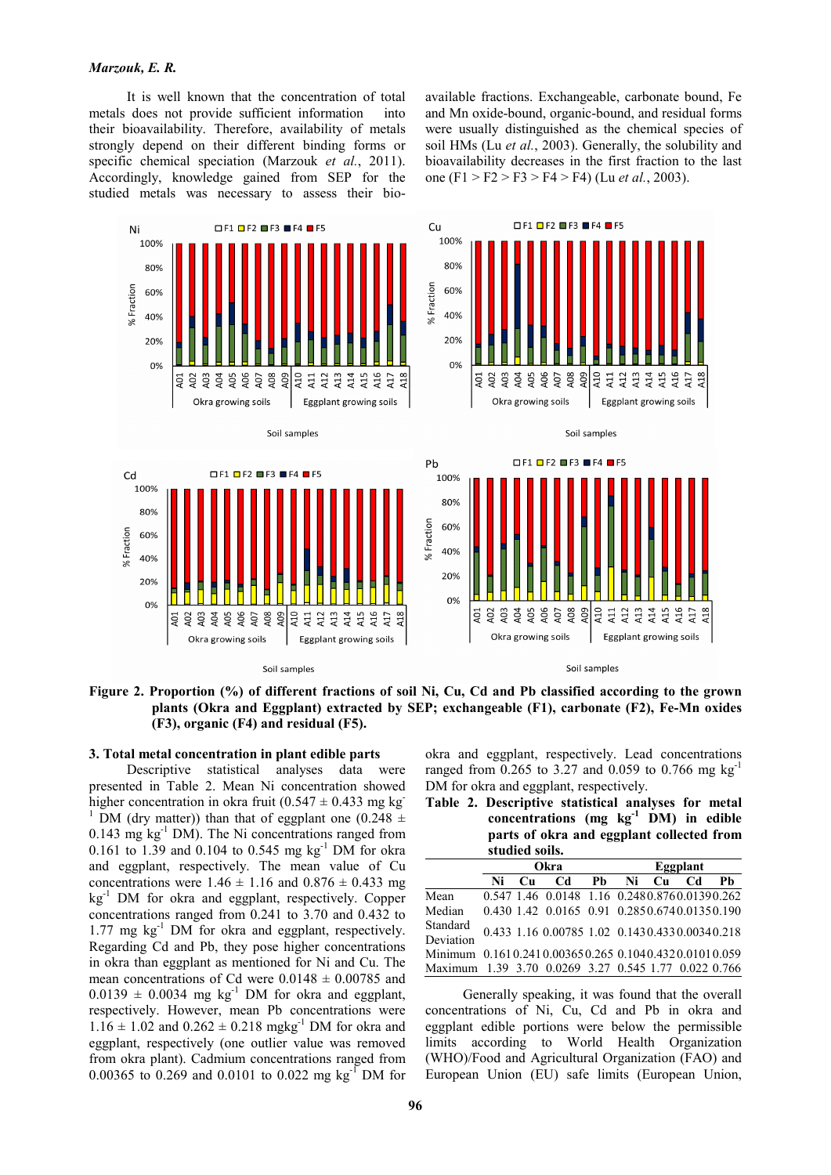# *Marzouk, E. R.*

It is well known that the concentration of total metals does not provide sufficient information into their bioavailability. Therefore, availability of metals strongly depend on their different binding forms or specific chemical speciation (Marzouk *et al.*, 2011). Accordingly, knowledge gained from SEP for the studied metals was necessary to assess their bioavailable fractions. Exchangeable, carbonate bound, Fe and Mn oxide-bound, organic-bound, and residual forms were usually distinguished as the chemical species of soil HMs (Lu *et al.*, 2003). Generally, the solubility and bioavailability decreases in the first fraction to the last one (F1 > F2 > F3 > F4 > F4) (Lu *et al.*, 2003).



**Figure 2. Proportion (%) of different fractions of soil Ni, Cu, Cd and Pb classified according to the grown plants (Okra and Eggplant) extracted by SEP; exchangeable (F1), carbonate (F2), Fe-Mn oxides (F3), organic (F4) and residual (F5).** 

# **3. Total metal concentration in plant edible parts**

Descriptive statistical analyses data were presented in Table 2. Mean Ni concentration showed higher concentration in okra fruit  $(0.547 \pm 0.433 \text{ mg kg})$ <sup>1</sup> DM (dry matter)) than that of eggplant one (0.248  $\pm$  $0.143$  mg kg<sup>-1</sup> DM). The Ni concentrations ranged from 0.161 to 1.39 and 0.104 to 0.545 mg  $kg^{-1}$  DM for okra and eggplant, respectively. The mean value of Cu concentrations were  $1.46 \pm 1.16$  and  $0.876 \pm 0.433$  mg  $kg<sup>-1</sup>$  DM for okra and eggplant, respectively. Copper concentrations ranged from 0.241 to 3.70 and 0.432 to 1.77 mg kg-1 DM for okra and eggplant, respectively. Regarding Cd and Pb, they pose higher concentrations in okra than eggplant as mentioned for Ni and Cu. The mean concentrations of Cd were  $0.0148 \pm 0.00785$  and  $0.0139 \pm 0.0034$  mg kg<sup>-1</sup> DM for okra and eggplant, respectively. However, mean Pb concentrations were  $1.16 \pm 1.02$  and  $0.262 \pm 0.218$  mgkg<sup>-1</sup> DM for okra and eggplant, respectively (one outlier value was removed from okra plant). Cadmium concentrations ranged from 0.00365 to 0.269 and 0.0101 to 0.022 mg kg<sup>-1</sup> DM for

okra and eggplant, respectively. Lead concentrations ranged from  $0.265$  to  $3.27$  and  $0.059$  to  $0.766$  mg kg<sup>-1</sup> DM for okra and eggplant, respectively.

**Table 2. Descriptive statistical analyses for metal concentrations (mg kg-1 DM) in edible parts of okra and eggplant collected from studied soils.** 

|                                                      |    |             | Okra                                          | Eggplant |    |    |    |    |  |
|------------------------------------------------------|----|-------------|-----------------------------------------------|----------|----|----|----|----|--|
|                                                      | Ni | $_{\rm Cu}$ | Cd                                            | Ph       | Ni | Cu | Cd | Ph |  |
| Mean                                                 |    |             | 0.547 1.46 0.0148 1.16 0.2480.8760.01390.262  |          |    |    |    |    |  |
| Median                                               |    |             | 0.430 1.42 0.0165 0.91 0.2850.6740.01350.190  |          |    |    |    |    |  |
| Standard                                             |    |             | 0.433 1.16 0.00785 1.02 0.1430.4330.00340.218 |          |    |    |    |    |  |
| Deviation                                            |    |             |                                               |          |    |    |    |    |  |
| Minimum 0.1610.2410.003650.265 0.1040.4320.01010.059 |    |             |                                               |          |    |    |    |    |  |
| Maximum 1.39 3.70 0.0269 3.27 0.545 1.77 0.022 0.766 |    |             |                                               |          |    |    |    |    |  |

Generally speaking, it was found that the overall concentrations of Ni, Cu, Cd and Pb in okra and eggplant edible portions were below the permissible limits according to World Health Organization (WHO)/Food and Agricultural Organization (FAO) and European Union (EU) safe limits (European Union,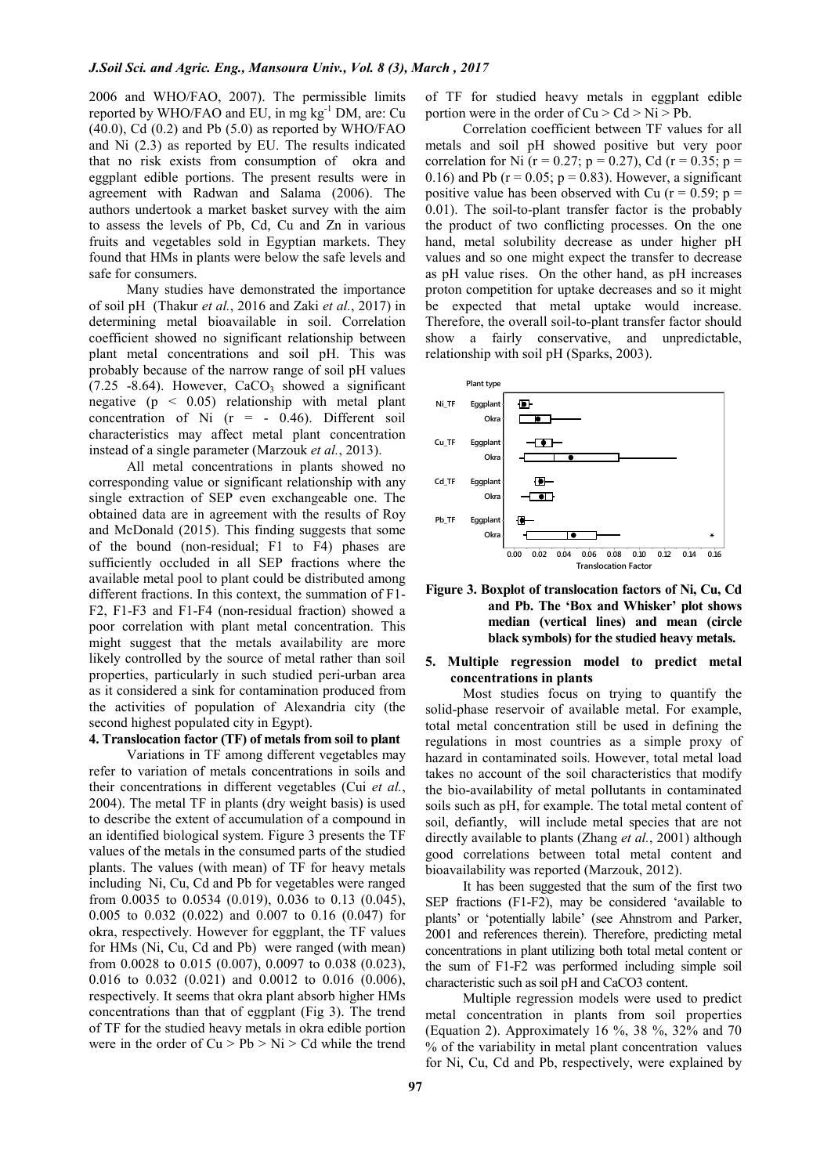2006 and WHO/FAO, 2007). The permissible limits reported by WHO/FAO and EU, in mg  $kg^{-1}$  DM, are: Cu  $(40.0)$ , Cd  $(0.2)$  and Pb  $(5.0)$  as reported by WHO/FAO and Ni (2.3) as reported by EU. The results indicated that no risk exists from consumption of okra and eggplant edible portions. The present results were in agreement with Radwan and Salama (2006). The authors undertook a market basket survey with the aim to assess the levels of Pb, Cd, Cu and Zn in various fruits and vegetables sold in Egyptian markets. They found that HMs in plants were below the safe levels and safe for consumers.

Many studies have demonstrated the importance of soil pH (Thakur *et al.*, 2016 and Zaki *et al.*, 2017) in determining metal bioavailable in soil. Correlation coefficient showed no significant relationship between plant metal concentrations and soil pH. This was probably because of the narrow range of soil pH values  $(7.25 - 8.64)$ . However, CaCO<sub>3</sub> showed a significant negative  $(p \leq 0.05)$  relationship with metal plant concentration of Ni  $(r = -0.46)$ . Different soil characteristics may affect metal plant concentration instead of a single parameter (Marzouk *et al.*, 2013).

All metal concentrations in plants showed no corresponding value or significant relationship with any single extraction of SEP even exchangeable one. The obtained data are in agreement with the results of Roy and McDonald (2015). This finding suggests that some of the bound (non-residual; F1 to F4) phases are sufficiently occluded in all SEP fractions where the available metal pool to plant could be distributed among different fractions. In this context, the summation of F1- F2, F1-F3 and F1-F4 (non-residual fraction) showed a poor correlation with plant metal concentration. This might suggest that the metals availability are more likely controlled by the source of metal rather than soil properties, particularly in such studied peri-urban area as it considered a sink for contamination produced from the activities of population of Alexandria city (the second highest populated city in Egypt).

#### **4. Translocation factor (TF) of metals from soil to plant**

Variations in TF among different vegetables may refer to variation of metals concentrations in soils and their concentrations in different vegetables (Cui *et al.*, 2004). The metal TF in plants (dry weight basis) is used to describe the extent of accumulation of a compound in an identified biological system. Figure 3 presents the TF values of the metals in the consumed parts of the studied plants. The values (with mean) of TF for heavy metals including Ni, Cu, Cd and Pb for vegetables were ranged from 0.0035 to 0.0534 (0.019), 0.036 to 0.13 (0.045), 0.005 to 0.032 (0.022) and 0.007 to 0.16 (0.047) for okra, respectively. However for eggplant, the TF values for HMs (Ni, Cu, Cd and Pb) were ranged (with mean) from 0.0028 to 0.015 (0.007), 0.0097 to 0.038 (0.023), 0.016 to 0.032 (0.021) and 0.0012 to 0.016 (0.006), respectively. It seems that okra plant absorb higher HMs concentrations than that of eggplant (Fig 3). The trend of TF for the studied heavy metals in okra edible portion were in the order of  $Cu > Pb > Ni > Cd$  while the trend

of TF for studied heavy metals in eggplant edible portion were in the order of  $Cu > Cd > Ni > Pb$ .

Correlation coefficient between TF values for all metals and soil pH showed positive but very poor correlation for Ni (r = 0.27; p = 0.27), Cd (r = 0.35; p = 0.16) and Pb ( $r = 0.05$ ;  $p = 0.83$ ). However, a significant positive value has been observed with Cu  $(r = 0.59; p =$ 0.01). The soil-to-plant transfer factor is the probably the product of two conflicting processes. On the one hand, metal solubility decrease as under higher pH values and so one might expect the transfer to decrease as pH value rises. On the other hand, as pH increases proton competition for uptake decreases and so it might be expected that metal uptake would increase. Therefore, the overall soil-to-plant transfer factor should show a fairly conservative, and unpredictable, relationship with soil pH (Sparks, 2003).





# **5. Multiple regression model to predict metal concentrations in plants**

Most studies focus on trying to quantify the solid-phase reservoir of available metal. For example, total metal concentration still be used in defining the regulations in most countries as a simple proxy of hazard in contaminated soils. However, total metal load takes no account of the soil characteristics that modify the bio-availability of metal pollutants in contaminated soils such as pH, for example. The total metal content of soil, defiantly, will include metal species that are not directly available to plants (Zhang *et al.*, 2001) although good correlations between total metal content and bioavailability was reported (Marzouk, 2012).

It has been suggested that the sum of the first two SEP fractions (F1-F2), may be considered 'available to plants' or 'potentially labile' (see Ahnstrom and Parker, 2001 and references therein). Therefore, predicting metal concentrations in plant utilizing both total metal content or the sum of F1-F2 was performed including simple soil characteristic such as soil pH and CaCO3 content.

Multiple regression models were used to predict metal concentration in plants from soil properties (Equation 2). Approximately 16 %, 38 %, 32% and 70 % of the variability in metal plant concentration values for Ni, Cu, Cd and Pb, respectively, were explained by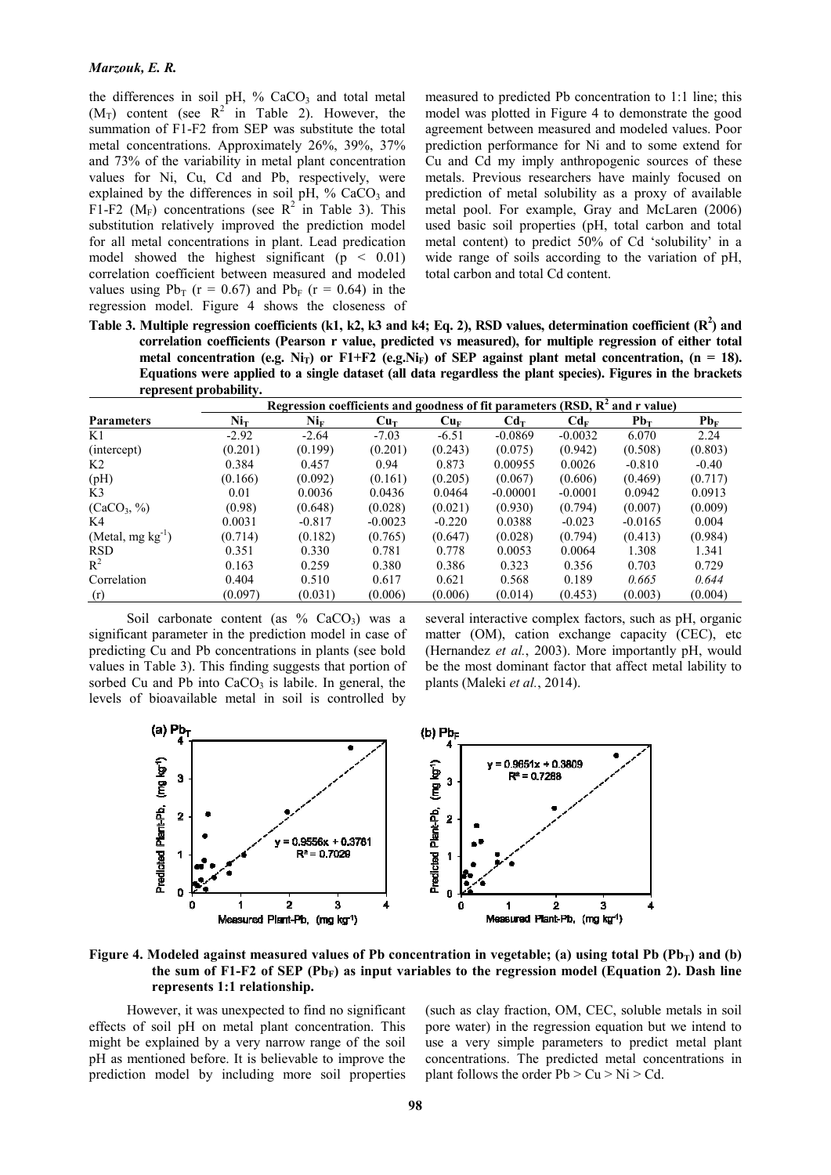the differences in soil pH,  $%$  CaCO<sub>3</sub> and total metal  $(M_T)$  content (see  $R^2$  in Table 2). However, the summation of F1-F2 from SEP was substitute the total metal concentrations. Approximately 26%, 39%, 37% and 73% of the variability in metal plant concentration values for Ni, Cu, Cd and Pb, respectively, were explained by the differences in soil pH,  $%$  CaCO<sub>3</sub> and F1-F2 ( $M_F$ ) concentrations (see R<sup>2</sup> in Table 3). This substitution relatively improved the prediction model for all metal concentrations in plant. Lead predication model showed the highest significant ( $p < 0.01$ ) correlation coefficient between measured and modeled values using  $Pb_T$  (r = 0.67) and  $Pb_F$  (r = 0.64) in the regression model. Figure 4 shows the closeness of

measured to predicted Pb concentration to 1:1 line; this model was plotted in Figure 4 to demonstrate the good agreement between measured and modeled values. Poor prediction performance for Ni and to some extend for Cu and Cd my imply anthropogenic sources of these metals. Previous researchers have mainly focused on prediction of metal solubility as a proxy of available metal pool. For example, Gray and McLaren (2006) used basic soil properties (pH, total carbon and total metal content) to predict 50% of Cd 'solubility' in a wide range of soils according to the variation of pH, total carbon and total Cd content.

**Table 3. Multiple regression coefficients (k1, k2, k3 and k4; Eq. 2), RSD values, determination coefficient (R<sup>2</sup> ) and correlation coefficients (Pearson r value, predicted vs measured), for multiple regression of either total**  metal concentration (e.g. Ni<sub>T</sub>) or F1+F2 (e.g.Ni<sub>F</sub>) of SEP against plant metal concentration, (n = 18). **Equations were applied to a single dataset (all data regardless the plant species). Figures in the brackets represent probability.** 

|                       | Regression coefficients and goodness of fit parameters $(RSD, R2$ and r value) |                          |                 |          |            |           |           |                 |  |
|-----------------------|--------------------------------------------------------------------------------|--------------------------|-----------------|----------|------------|-----------|-----------|-----------------|--|
| <b>Parameters</b>     | Ni <sub>T</sub>                                                                | $\mathrm{Ni}_\mathrm{F}$ | Cu <sub>T</sub> | $Cu_F$   | $Cd_T$     | $Cd_F$    | $Pb_T$    | Pb <sub>F</sub> |  |
| K1                    | $-2.92$                                                                        | $-2.64$                  | $-7.03$         | $-6.51$  | $-0.0869$  | $-0.0032$ | 6.070     | 2.24            |  |
| (intercept)           | (0.201)                                                                        | (0.199)                  | (0.201)         | (0.243)  | (0.075)    | (0.942)   | (0.508)   | (0.803)         |  |
| K2                    | 0.384                                                                          | 0.457                    | 0.94            | 0.873    | 0.00955    | 0.0026    | $-0.810$  | $-0.40$         |  |
| (pH)                  | (0.166)                                                                        | (0.092)                  | (0.161)         | (0.205)  | (0.067)    | (0.606)   | (0.469)   | (0.717)         |  |
| K <sub>3</sub>        | 0.01                                                                           | 0.0036                   | 0.0436          | 0.0464   | $-0.00001$ | $-0.0001$ | 0.0942    | 0.0913          |  |
| $(CaCO_3, %$          | (0.98)                                                                         | (0.648)                  | (0.028)         | (0.021)  | (0.930)    | (0.794)   | (0.007)   | (0.009)         |  |
| K4                    | 0.0031                                                                         | $-0.817$                 | $-0.0023$       | $-0.220$ | 0.0388     | $-0.023$  | $-0.0165$ | 0.004           |  |
| $(Metal, mg kg^{-1})$ | (0.714)                                                                        | (0.182)                  | (0.765)         | (0.647)  | (0.028)    | (0.794)   | (0.413)   | (0.984)         |  |
| <b>RSD</b>            | 0.351                                                                          | 0.330                    | 0.781           | 0.778    | 0.0053     | 0.0064    | 1.308     | 1.341           |  |
| $R^2$                 | 0.163                                                                          | 0.259                    | 0.380           | 0.386    | 0.323      | 0.356     | 0.703     | 0.729           |  |
| Correlation           | 0.404                                                                          | 0.510                    | 0.617           | 0.621    | 0.568      | 0.189     | 0.665     | 0.644           |  |
| (r)                   | (0.097)                                                                        | (0.031)                  | (0.006)         | (0.006)  | (0.014)    | (0.453)   | (0.003)   | (0.004)         |  |

Soil carbonate content (as  $%$  CaCO<sub>3</sub>) was a significant parameter in the prediction model in case of predicting Cu and Pb concentrations in plants (see bold values in Table 3). This finding suggests that portion of sorbed Cu and Pb into  $CaCO<sub>3</sub>$  is labile. In general, the levels of bioavailable metal in soil is controlled by

several interactive complex factors, such as pH, organic matter (OM), cation exchange capacity (CEC), etc (Hernandez *et al.*, 2003). More importantly pH, would be the most dominant factor that affect metal lability to plants (Maleki *et al.*, 2014).



**Figure 4. Modeled against measured values of Pb concentration in vegetable; (a) using total Pb**  $(\mathbf{Pb_T})$  **and (b)** the sum of F1-F2 of SEP  $(Pb_F)$  as input variables to the regression model (Equation 2). Dash line **represents 1:1 relationship.** 

However, it was unexpected to find no significant effects of soil pH on metal plant concentration. This might be explained by a very narrow range of the soil pH as mentioned before. It is believable to improve the prediction model by including more soil properties (such as clay fraction, OM, CEC, soluble metals in soil pore water) in the regression equation but we intend to use a very simple parameters to predict metal plant concentrations. The predicted metal concentrations in plant follows the order  $Pb > Cu > Ni > Cd$ .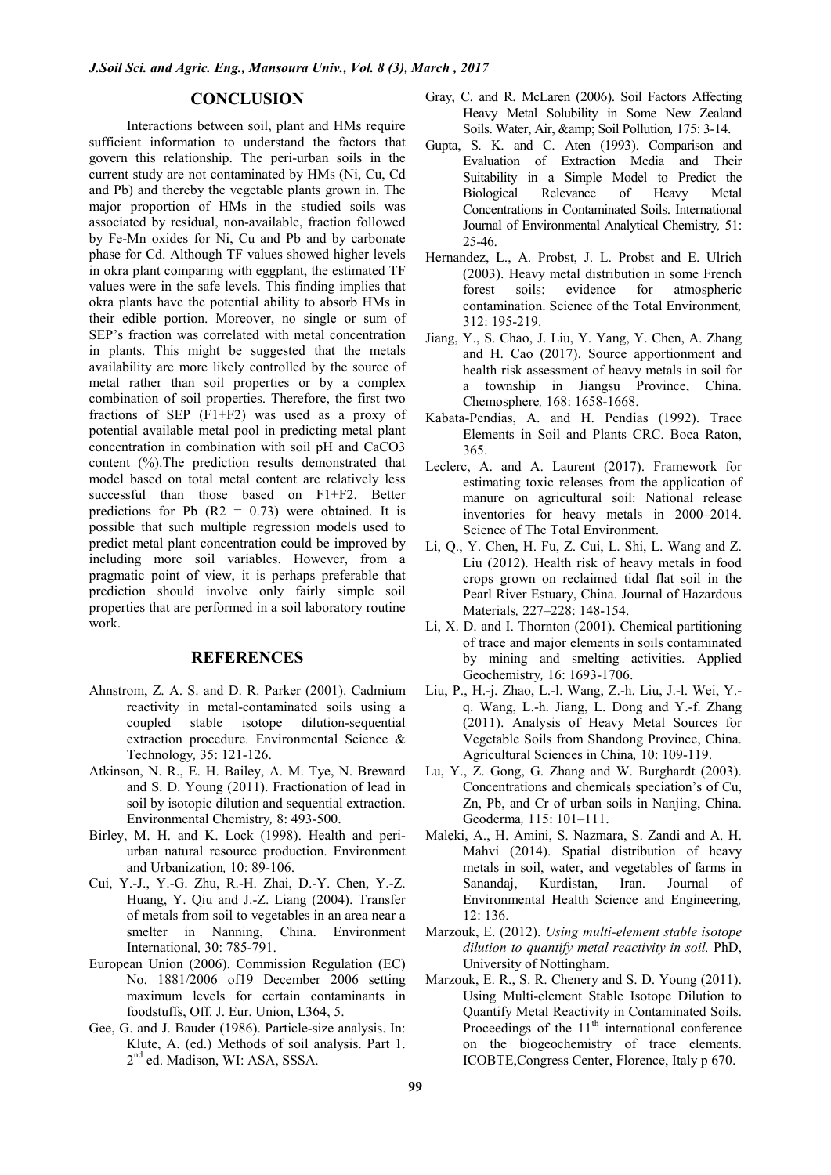# **CONCLUSION**

Interactions between soil, plant and HMs require sufficient information to understand the factors that govern this relationship. The peri-urban soils in the current study are not contaminated by HMs (Ni, Cu, Cd and Pb) and thereby the vegetable plants grown in. The major proportion of HMs in the studied soils was associated by residual, non-available, fraction followed by Fe-Mn oxides for Ni, Cu and Pb and by carbonate phase for Cd. Although TF values showed higher levels in okra plant comparing with eggplant, the estimated TF values were in the safe levels. This finding implies that okra plants have the potential ability to absorb HMs in their edible portion. Moreover, no single or sum of SEP's fraction was correlated with metal concentration in plants. This might be suggested that the metals availability are more likely controlled by the source of metal rather than soil properties or by a complex combination of soil properties. Therefore, the first two fractions of SEP (F1+F2) was used as a proxy of potential available metal pool in predicting metal plant concentration in combination with soil pH and CaCO3 content (%).The prediction results demonstrated that model based on total metal content are relatively less successful than those based on F1+F2. Better predictions for Pb  $(R2 = 0.73)$  were obtained. It is possible that such multiple regression models used to predict metal plant concentration could be improved by including more soil variables. However, from a pragmatic point of view, it is perhaps preferable that prediction should involve only fairly simple soil properties that are performed in a soil laboratory routine work.

# **REFERENCES**

- Ahnstrom, Z. A. S. and D. R. Parker (2001). Cadmium reactivity in metal-contaminated soils using a coupled stable isotope dilution-sequential extraction procedure. Environmental Science & Technology*,* 35: 121-126.
- Atkinson, N. R., E. H. Bailey, A. M. Tye, N. Breward and S. D. Young (2011). Fractionation of lead in soil by isotopic dilution and sequential extraction. Environmental Chemistry*,* 8: 493-500.
- Birley, M. H. and K. Lock (1998). Health and periurban natural resource production. Environment and Urbanization*,* 10: 89-106.
- Cui, Y.-J., Y.-G. Zhu, R.-H. Zhai, D.-Y. Chen, Y.-Z. Huang, Y. Qiu and J.-Z. Liang (2004). Transfer of metals from soil to vegetables in an area near a smelter in Nanning, China. Environment International*,* 30: 785-791.
- European Union (2006). Commission Regulation (EC) No. 1881/2006 of19 December 2006 setting maximum levels for certain contaminants in foodstuffs, Off. J. Eur. Union, L364, 5.
- Gee, G. and J. Bauder (1986). Particle-size analysis. In: Klute, A. (ed.) Methods of soil analysis. Part 1. 2 nd ed. Madison, WI: ASA, SSSA.
- Gray, C. and R. McLaren (2006). Soil Factors Affecting Heavy Metal Solubility in Some New Zealand Soils. Water, Air, & amp; Soil Pollution, 175: 3-14.
- Gupta, S. K. and C. Aten (1993). Comparison and Evaluation of Extraction Media and Their Suitability in a Simple Model to Predict the Biological Relevance of Heavy Metal Concentrations in Contaminated Soils. International Journal of Environmental Analytical Chemistry*,* 51: 25-46.
- Hernandez, L., A. Probst, J. L. Probst and E. Ulrich (2003). Heavy metal distribution in some French forest soils: evidence for atmospheric contamination. Science of the Total Environment*,* 312: 195-219.
- Jiang, Y., S. Chao, J. Liu, Y. Yang, Y. Chen, A. Zhang and H. Cao (2017). Source apportionment and health risk assessment of heavy metals in soil for a township in Jiangsu Province, China. Chemosphere*,* 168: 1658-1668.
- Kabata-Pendias, A. and H. Pendias (1992). Trace Elements in Soil and Plants CRC. Boca Raton, 365.
- Leclerc, A. and A. Laurent (2017). Framework for estimating toxic releases from the application of manure on agricultural soil: National release inventories for heavy metals in 2000–2014. Science of The Total Environment.
- Li, Q., Y. Chen, H. Fu, Z. Cui, L. Shi, L. Wang and Z. Liu (2012). Health risk of heavy metals in food crops grown on reclaimed tidal flat soil in the Pearl River Estuary, China. Journal of Hazardous Materials*,* 227–228: 148-154.
- Li, X. D. and I. Thornton (2001). Chemical partitioning of trace and major elements in soils contaminated by mining and smelting activities. Applied Geochemistry*,* 16: 1693-1706.
- Liu, P., H.-j. Zhao, L.-l. Wang, Z.-h. Liu, J.-l. Wei, Y. q. Wang, L.-h. Jiang, L. Dong and Y.-f. Zhang (2011). Analysis of Heavy Metal Sources for Vegetable Soils from Shandong Province, China. Agricultural Sciences in China*,* 10: 109-119.
- Lu, Y., Z. Gong, G. Zhang and W. Burghardt (2003). Concentrations and chemicals speciation's of Cu, Zn, Pb, and Cr of urban soils in Nanjing, China. Geoderma*,* 115: 101–111.
- Maleki, A., H. Amini, S. Nazmara, S. Zandi and A. H. Mahvi (2014). Spatial distribution of heavy metals in soil, water, and vegetables of farms in Sanandaj, Kurdistan, Iran. Journal of Environmental Health Science and Engineering*,* 12: 136.
- Marzouk, E. (2012). *Using multi-element stable isotope dilution to quantify metal reactivity in soil.* PhD, University of Nottingham.
- Marzouk, E. R., S. R. Chenery and S. D. Young (2011). Using Multi-element Stable Isotope Dilution to Quantify Metal Reactivity in Contaminated Soils. Proceedings of the  $11<sup>th</sup>$  international conference on the biogeochemistry of trace elements. ICOBTE,Congress Center, Florence, Italy p 670.